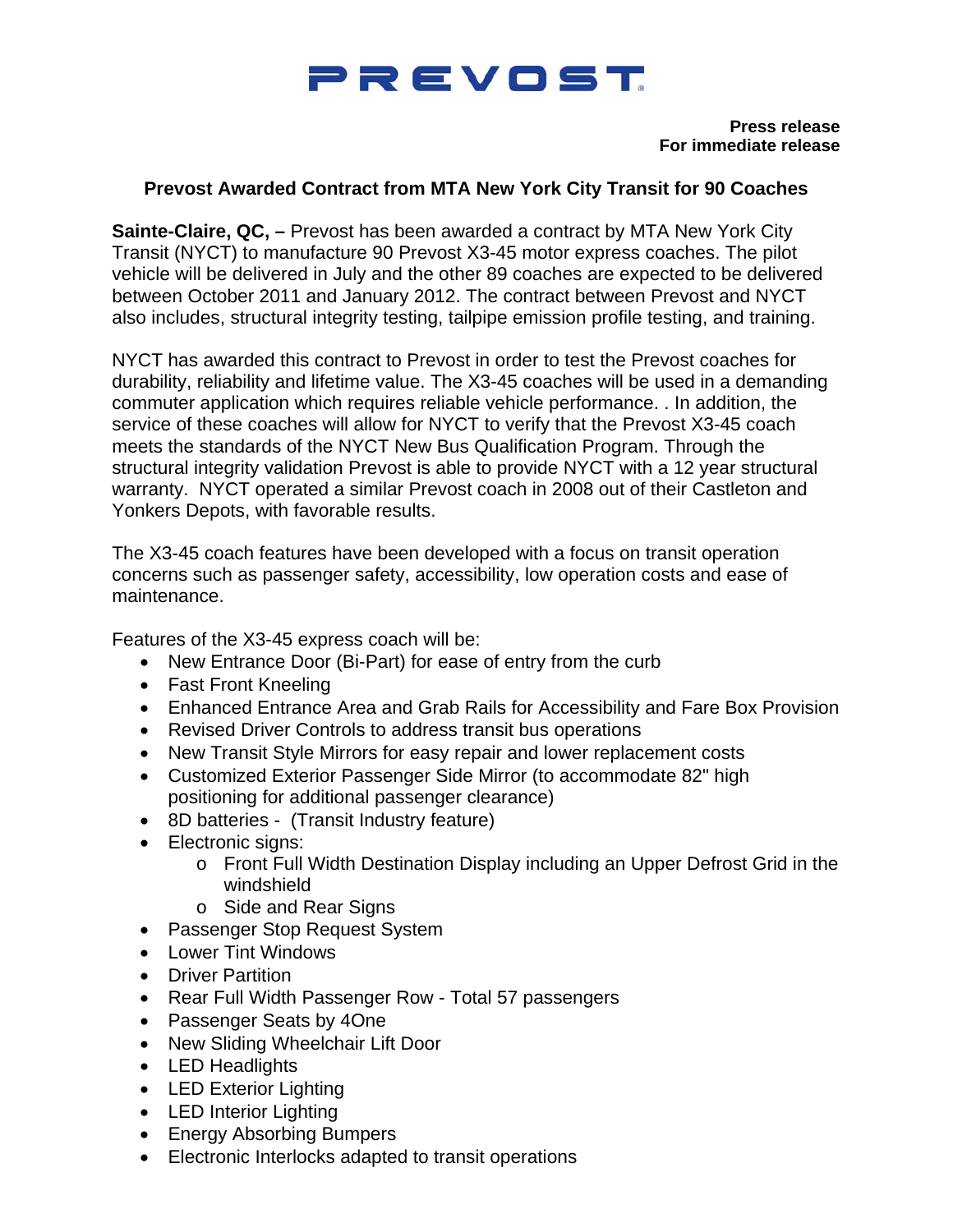## PREVOST

**Press release For immediate release** 

## **Prevost Awarded Contract from MTA New York City Transit for 90 Coaches**

**Sainte-Claire, QC, –** Prevost has been awarded a contract by MTA New York City Transit (NYCT) to manufacture 90 Prevost X3-45 motor express coaches. The pilot vehicle will be delivered in July and the other 89 coaches are expected to be delivered between October 2011 and January 2012. The contract between Prevost and NYCT also includes, structural integrity testing, tailpipe emission profile testing, and training.

NYCT has awarded this contract to Prevost in order to test the Prevost coaches for durability, reliability and lifetime value. The X3-45 coaches will be used in a demanding commuter application which requires reliable vehicle performance. . In addition, the service of these coaches will allow for NYCT to verify that the Prevost X3-45 coach meets the standards of the NYCT New Bus Qualification Program. Through the structural integrity validation Prevost is able to provide NYCT with a 12 year structural warranty. NYCT operated a similar Prevost coach in 2008 out of their Castleton and Yonkers Depots, with favorable results.

The X3-45 coach features have been developed with a focus on transit operation concerns such as passenger safety, accessibility, low operation costs and ease of maintenance.

Features of the X3-45 express coach will be:

- New Entrance Door (Bi-Part) for ease of entry from the curb
- Fast Front Kneeling
- Enhanced Entrance Area and Grab Rails for Accessibility and Fare Box Provision
- Revised Driver Controls to address transit bus operations
- New Transit Style Mirrors for easy repair and lower replacement costs
- Customized Exterior Passenger Side Mirror (to accommodate 82" high positioning for additional passenger clearance)
- 8D batteries (Transit Industry feature)
- Electronic signs:
	- o Front Full Width Destination Display including an Upper Defrost Grid in the windshield
	- o Side and Rear Signs
- Passenger Stop Request System
- Lower Tint Windows
- **•** Driver Partition
- Rear Full Width Passenger Row Total 57 passengers
- Passenger Seats by 4One
- New Sliding Wheelchair Lift Door
- LED Headlights
- LED Exterior Lighting
- LED Interior Lighting
- Energy Absorbing Bumpers
- Electronic Interlocks adapted to transit operations